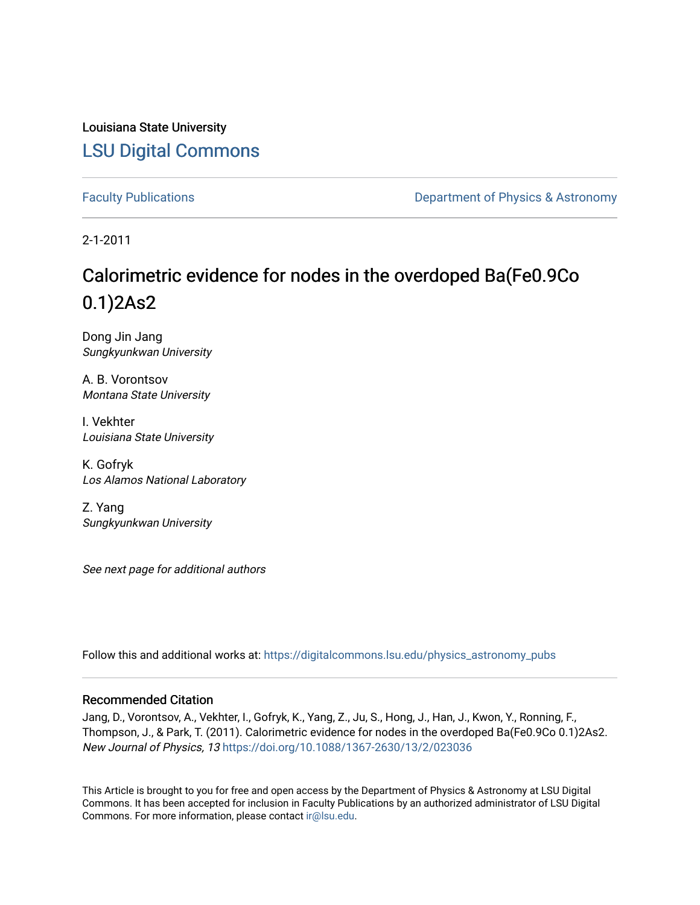Louisiana State University [LSU Digital Commons](https://digitalcommons.lsu.edu/)

[Faculty Publications](https://digitalcommons.lsu.edu/physics_astronomy_pubs) **Exercise 2 and Table 2 and Table 2 and Table 2 and Table 2 and Table 2 and Table 2 and Table 2 and Table 2 and Table 2 and Table 2 and Table 2 and Table 2 and Table 2 and Table 2 and Table 2 and Table** 

2-1-2011

# Calorimetric evidence for nodes in the overdoped Ba(Fe0.9Co 0.1)2As2

Dong Jin Jang Sungkyunkwan University

A. B. Vorontsov Montana State University

I. Vekhter Louisiana State University

K. Gofryk Los Alamos National Laboratory

Z. Yang Sungkyunkwan University

See next page for additional authors

Follow this and additional works at: [https://digitalcommons.lsu.edu/physics\\_astronomy\\_pubs](https://digitalcommons.lsu.edu/physics_astronomy_pubs?utm_source=digitalcommons.lsu.edu%2Fphysics_astronomy_pubs%2F5432&utm_medium=PDF&utm_campaign=PDFCoverPages) 

# Recommended Citation

Jang, D., Vorontsov, A., Vekhter, I., Gofryk, K., Yang, Z., Ju, S., Hong, J., Han, J., Kwon, Y., Ronning, F., Thompson, J., & Park, T. (2011). Calorimetric evidence for nodes in the overdoped Ba(Fe0.9Co 0.1)2As2. New Journal of Physics, 13 <https://doi.org/10.1088/1367-2630/13/2/023036>

This Article is brought to you for free and open access by the Department of Physics & Astronomy at LSU Digital Commons. It has been accepted for inclusion in Faculty Publications by an authorized administrator of LSU Digital Commons. For more information, please contact [ir@lsu.edu](mailto:ir@lsu.edu).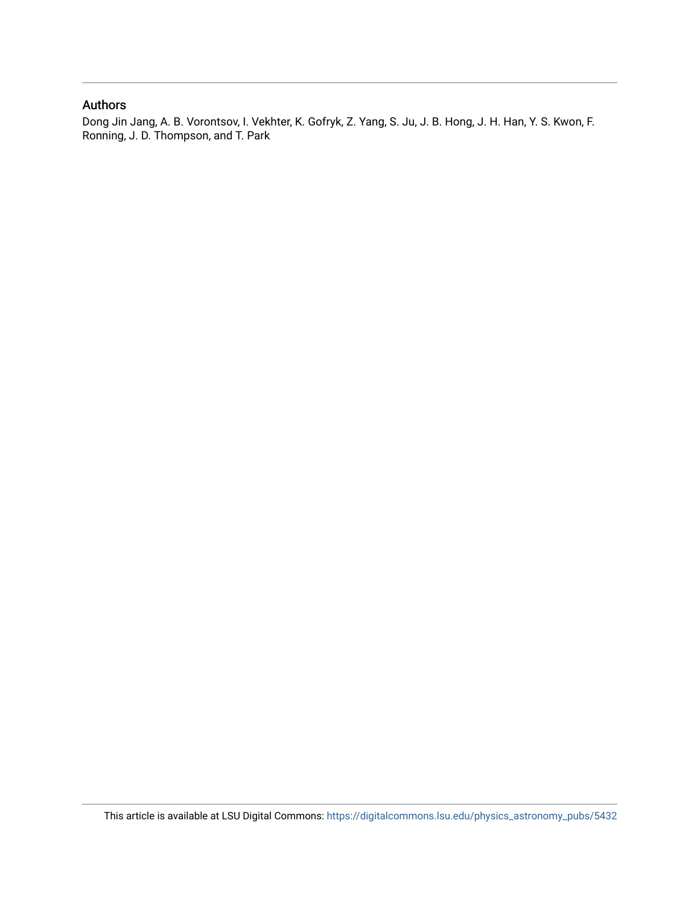# Authors

Dong Jin Jang, A. B. Vorontsov, I. Vekhter, K. Gofryk, Z. Yang, S. Ju, J. B. Hong, J. H. Han, Y. S. Kwon, F. Ronning, J. D. Thompson, and T. Park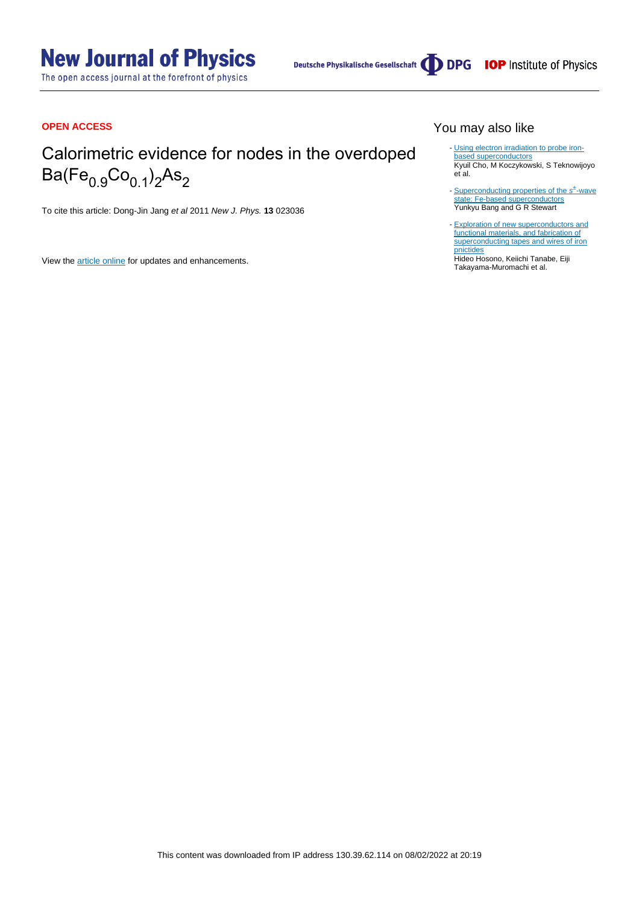# **New Journal of Physics**

The open access journal at the forefront of physics

Deutsche Physikalische Gesellschaft (DDPG IOP Institute of Physics

# **OPEN ACCESS**

# Calorimetric evidence for nodes in the overdoped Ba(Fe<sub>0.9</sub>Co<sub>0.1</sub>)<sub>2</sub>As<sub>2</sub>

To cite this article: Dong-Jin Jang et al 2011 New J. Phys. **13** 023036

View the [article online](https://doi.org/10.1088/1367-2630/13/2/023036) for updates and enhancements.

# You may also like

- [Using electron irradiation to probe iron](/article/10.1088/1361-6668/aabfa8)[based superconductors](/article/10.1088/1361-6668/aabfa8) Kyuil Cho, M Koczykowski, S Teknowijoyo et al.
- [Superconducting properties of the](/article/10.1088/1361-648X/aa564b) [s](/article/10.1088/1361-648X/aa564b)<sup>+</sup>[-wave](/article/10.1088/1361-648X/aa564b) [state: Fe-based superconductors](/article/10.1088/1361-648X/aa564b) Yunkyu Bang and G R Stewart -
- [Exploration of new superconductors and](/article/10.1088/1468-6996/16/3/033503) [functional materials, and fabrication of](/article/10.1088/1468-6996/16/3/033503) [superconducting tapes and wires of iron](/article/10.1088/1468-6996/16/3/033503) [pnictides](/article/10.1088/1468-6996/16/3/033503) -

Hideo Hosono, Keiichi Tanabe, Eiji Takayama-Muromachi et al.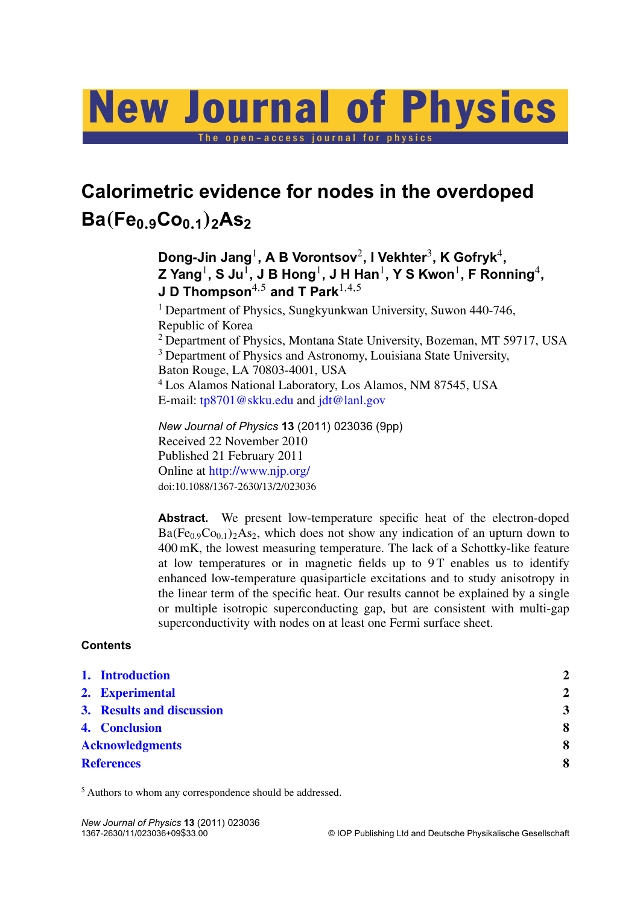# New Journal of Physics

The open-access journal for physics

# **Calorimetric evidence for nodes in the overdoped Ba**(**Fe0**.**9Co0**.**1**)**2As<sup>2</sup>**

**Dong-Jin Jang**<sup>1</sup> **, A B Vorontsov**<sup>2</sup> **, I Vekhter**<sup>3</sup> **, K Gofryk**<sup>4</sup> **, Z Yang**<sup>1</sup> **, S Ju**<sup>1</sup> **, J B Hong**<sup>1</sup> **, J H Han**<sup>1</sup> **, Y S Kwon**<sup>1</sup> **, F Ronning**<sup>4</sup> **, J D Thompson**4,<sup>5</sup> **and T Park**1,4,<sup>5</sup>

<sup>1</sup> Department of Physics, Sungkyunkwan University, Suwon 440-746, Republic of Korea

<sup>2</sup> Department of Physics, Montana State University, Bozeman, MT 59717, USA <sup>3</sup> Department of Physics and Astronomy, Louisiana State University,

Baton Rouge, LA 70803-4001, USA

<sup>4</sup> Los Alamos National Laboratory, Los Alamos, NM 87545, USA E-mail: [tp8701@skku.edu](mailto:tp8701@skku.edu) and [jdt@lanl.gov](mailto:jdt@lanl.gov)

*New Journal of Physics* **13** (2011) 023036 (9pp) Received 22 November 2010 Published 21 February 2011 Online at <http://www.njp.org/> doi:10.1088/1367-2630/13/2/023036

**Abstract.** We present low-temperature specific heat of the electron-doped  $Ba(Fe<sub>0.9</sub>Co<sub>0.1</sub>)<sub>2</sub>As<sub>2</sub>$ , which does not show any indication of an upturn down to 400 mK, the lowest measuring temperature. The lack of a Schottky-like feature at low temperatures or in magnetic fields up to 9T enables us to identify enhanced low-temperature quasiparticle excitations and to study anisotropy in the linear term of the specific heat. Our results cannot be explained by a single or multiple isotropic superconducting gap, but are consistent with multi-gap superconductivity with nodes on at least one Fermi surface sheet.

# **Contents**

| 1. Introduction           | $\mathbf{2}$   |
|---------------------------|----------------|
| 2. Experimental           | $\overline{2}$ |
| 3. Results and discussion | $\overline{3}$ |
| 4. Conclusion             | 8              |
| <b>Acknowledgments</b>    | 8              |
| <b>References</b>         | 8              |
|                           |                |

<sup>5</sup> Authors to whom any correspondence should be addressed.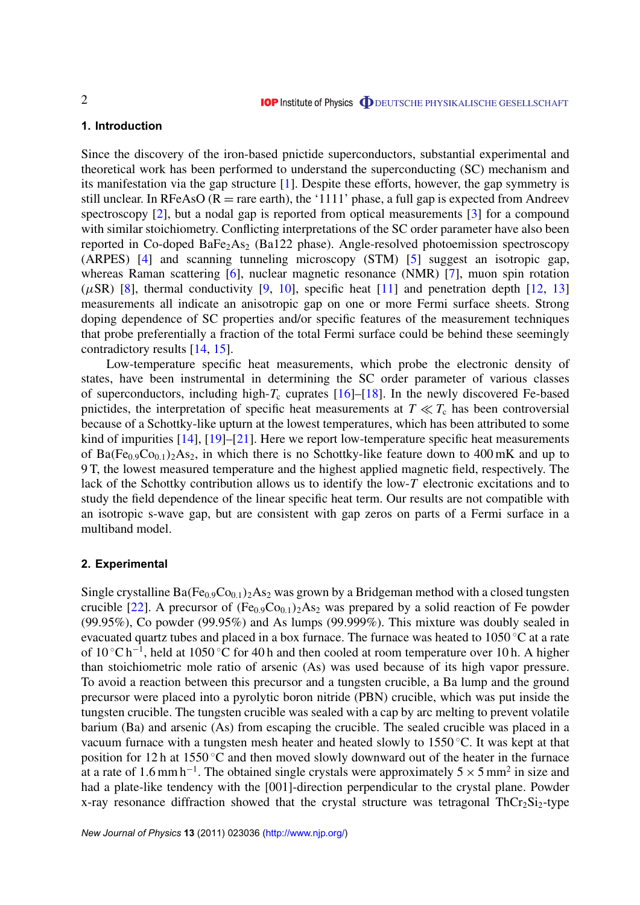## <span id="page-4-0"></span>**1. Introduction**

Since the discovery of the iron-based pnictide superconductors, substantial experimental and theoretical work has been performed to understand the superconducting (SC) mechanism and its manifestation via the gap structure [\[1\]](#page-10-0). Despite these efforts, however, the gap symmetry is still unclear. In RFeAsO ( $R =$  rare earth), the '1111' phase, a full gap is expected from Andreev spectroscopy [\[2\]](#page-10-0), but a nodal gap is reported from optical measurements [\[3\]](#page-11-0) for a compound with similar stoichiometry. Conflicting interpretations of the SC order parameter have also been reported in Co-doped BaFe<sub>2</sub>As<sub>2</sub> (Ba122 phase). Angle-resolved photoemission spectroscopy (ARPES) [\[4\]](#page-11-0) and scanning tunneling microscopy (STM) [\[5\]](#page-11-0) suggest an isotropic gap, whereas Raman scattering [\[6\]](#page-11-0), nuclear magnetic resonance (NMR) [\[7\]](#page-11-0), muon spin rotation  $(\mu$ SR) [\[8\]](#page-11-0), thermal conductivity [\[9,](#page-11-0) [10\]](#page-11-0), specific heat [\[11\]](#page-11-0) and penetration depth [\[12,](#page-11-0) [13\]](#page-11-0) measurements all indicate an anisotropic gap on one or more Fermi surface sheets. Strong doping dependence of SC properties and/or specific features of the measurement techniques that probe preferentially a fraction of the total Fermi surface could be behind these seemingly contradictory results [\[14,](#page-11-0) [15\]](#page-11-0).

Low-temperature specific heat measurements, which probe the electronic density of states, have been instrumental in determining the SC order parameter of various classes of superconductors, including high- $T_c$  cuprates  $[16]$ –[\[18\]](#page-11-0). In the newly discovered Fe-based pnictides, the interpretation of specific heat measurements at  $T \ll T_c$  has been controversial because of a Schottky-like upturn at the lowest temperatures, which has been attributed to some kind of impurities [\[14\]](#page-11-0), [\[19\]](#page-11-0)–[\[21\]](#page-11-0). Here we report low-temperature specific heat measurements of Ba(Fe<sub>0.9</sub>Co<sub>0.1</sub>)<sub>2</sub>As<sub>2</sub>, in which there is no Schottky-like feature down to 400 mK and up to 9 T, the lowest measured temperature and the highest applied magnetic field, respectively. The lack of the Schottky contribution allows us to identify the low-*T* electronic excitations and to study the field dependence of the linear specific heat term. Our results are not compatible with an isotropic s-wave gap, but are consistent with gap zeros on parts of a Fermi surface in a multiband model.

#### **2. Experimental**

Single crystalline  $Ba(Fe_{0.9}Co_{0.1})_2As_2$  was grown by a Bridgeman method with a closed tungsten crucible [\[22\]](#page-11-0). A precursor of  $(Fe_{0.9}Co_{0.1})_2As_2$  was prepared by a solid reaction of Fe powder (99.95%), Co powder (99.95%) and As lumps (99.999%). This mixture was doubly sealed in evacuated quartz tubes and placed in a box furnace. The furnace was heated to  $1050\degree\text{C}$  at a rate of 10 °C h<sup>-1</sup>, held at 1050 °C for 40 h and then cooled at room temperature over 10 h. A higher than stoichiometric mole ratio of arsenic (As) was used because of its high vapor pressure. To avoid a reaction between this precursor and a tungsten crucible, a Ba lump and the ground precursor were placed into a pyrolytic boron nitride (PBN) crucible, which was put inside the tungsten crucible. The tungsten crucible was sealed with a cap by arc melting to prevent volatile barium (Ba) and arsenic (As) from escaping the crucible. The sealed crucible was placed in a vacuum furnace with a tungsten mesh heater and heated slowly to  $1550^{\circ}$ C. It was kept at that position for 12 h at 1550 ◦C and then moved slowly downward out of the heater in the furnace at a rate of 1.6 mm h<sup>-1</sup>. The obtained single crystals were approximately  $5 \times 5$  mm<sup>2</sup> in size and had a plate-like tendency with the [001]-direction perpendicular to the crystal plane. Powder x-ray resonance diffraction showed that the crystal structure was tetragonal  $ThCr<sub>2</sub>Si<sub>2</sub>$ -type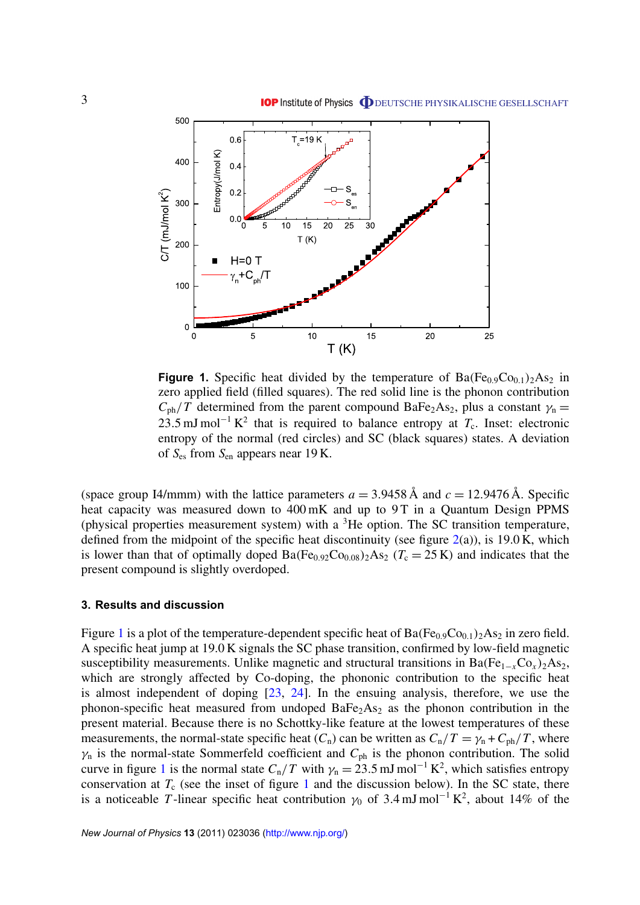<span id="page-5-0"></span>

**Figure 1.** Specific heat divided by the temperature of  $Ba(Fe_{0.9}Co_{0.1})_2As_2$  in zero applied field (filled squares). The red solid line is the phonon contribution  $C_{\rm ph}/T$  determined from the parent compound BaFe<sub>2</sub>As<sub>2</sub>, plus a constant  $\gamma_{\rm n}$  = 23.5 mJ mol<sup>-1</sup> K<sup>2</sup> that is required to balance entropy at  $T_c$ . Inset: electronic entropy of the normal (red circles) and SC (black squares) states. A deviation of *S*es from *S*en appears near 19 K.

(space group I4/mmm) with the lattice parameters  $a = 3.9458 \text{ Å}$  and  $c = 12.9476 \text{ Å}$ . Specific heat capacity was measured down to 400 mK and up to 9T in a Quantum Design PPMS (physical properties measurement system) with a  ${}^{3}$ He option. The SC transition temperature, defined from the midpoint of the specific heat discontinuity (see figure  $2(a)$  $2(a)$ ), is 19.0 K, which is lower than that of optimally doped  $Ba(Fe_{0.92}Co_{0.08})_2As_2$  ( $T_c = 25 K$ ) and indicates that the present compound is slightly overdoped.

### **3. Results and discussion**

Figure 1 is a plot of the temperature-dependent specific heat of  $Ba(Fe<sub>0.9</sub>Co<sub>0.1</sub>)<sub>2</sub>As<sub>2</sub>$  in zero field. A specific heat jump at 19.0 K signals the SC phase transition, confirmed by low-field magnetic susceptibility measurements. Unlike magnetic and structural transitions in Ba( $Fe_{1-x}Co_x$ )<sub>2</sub>As<sub>2</sub>, which are strongly affected by Co-doping, the phononic contribution to the specific heat is almost independent of doping [\[23,](#page-11-0) [24\]](#page-11-0). In the ensuing analysis, therefore, we use the phonon-specific heat measured from undoped  $BaFe<sub>2</sub>As<sub>2</sub>$  as the phonon contribution in the present material. Because there is no Schottky-like feature at the lowest temperatures of these measurements, the normal-state specific heat  $(C_n)$  can be written as  $C_n/T = \gamma_n + C_{ph}/T$ , where  $\gamma_n$  is the normal-state Sommerfeld coefficient and  $C_{ph}$  is the phonon contribution. The solid curve in figure 1 is the normal state  $C_n/T$  with  $\gamma_n = 23.5$  mJ mol<sup>-1</sup> K<sup>2</sup>, which satisfies entropy conservation at  $T_c$  (see the inset of figure 1 and the discussion below). In the SC state, there is a noticeable T-linear specific heat contribution  $\gamma_0$  of 3.4 mJ mol<sup>-1</sup> K<sup>2</sup>, about 14% of the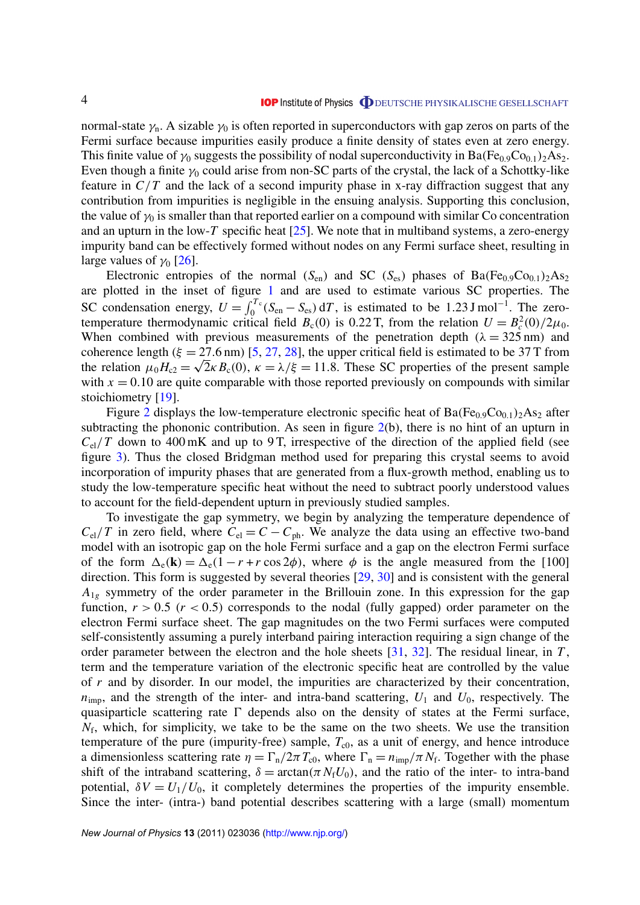normal-state  $\gamma_n$ . A sizable  $\gamma_0$  is often reported in superconductors with gap zeros on parts of the Fermi surface because impurities easily produce a finite density of states even at zero energy. This finite value of  $\gamma_0$  suggests the possibility of nodal superconductivity in Ba(Fe<sub>0.9</sub>Co<sub>0.1</sub>)<sub>2</sub>As<sub>2</sub>. Even though a finite  $\gamma_0$  could arise from non-SC parts of the crystal, the lack of a Schottky-like feature in *C*/*T* and the lack of a second impurity phase in x-ray diffraction suggest that any contribution from impurities is negligible in the ensuing analysis. Supporting this conclusion, the value of  $\gamma_0$  is smaller than that reported earlier on a compound with similar Co concentration and an upturn in the low- $T$  specific heat  $[25]$ . We note that in multiband systems, a zero-energy impurity band can be effectively formed without nodes on any Fermi surface sheet, resulting in large values of  $\gamma_0$  [\[26\]](#page-11-0).

Electronic entropies of the normal  $(S_{en})$  and SC  $(S_{es})$  phases of Ba(Fe<sub>0.9</sub>Co<sub>0.1</sub>)<sub>2</sub>As<sub>2</sub> are plotted in the inset of figure [1](#page-5-0) and are used to estimate various SC properties. The SC condensation energy,  $U = \int_0^{T_c} (S_{en} - S_{es}) dT$ , is estimated to be 1.23 J mol<sup>-1</sup>. The zerotemperature thermodynamic critical field  $B_c(0)$  is 0.22 T, from the relation  $U = B_c^2(0)/2\mu_0$ . When combined with previous measurements of the penetration depth ( $\lambda = 325 \text{ nm}$ ) and coherence length ( $\xi = 27.6$  nm) [\[5,](#page-11-0) [27,](#page-11-0) [28\]](#page-11-0), the upper critical field is estimated to be 37 T from the relation  $\mu_0 H_{c2} = \sqrt{2\kappa} B_c(0)$ ,  $\kappa = \lambda/\xi = 11.8$ . These SC properties of the present sample with  $x = 0.10$  are quite comparable with those reported previously on compounds with similar stoichiometry [\[19\]](#page-11-0).

Figure [2](#page-7-0) displays the low-temperature electronic specific heat of  $Ba(Fe<sub>0.9</sub>Co<sub>0.1</sub>)<sub>2</sub>As<sub>2</sub>$  after subtracting the phononic contribution. As seen in figure  $2(b)$  $2(b)$ , there is no hint of an upturn in  $C_{el}/T$  down to 400 mK and up to 9 T, irrespective of the direction of the applied field (see figure [3\)](#page-8-0). Thus the closed Bridgman method used for preparing this crystal seems to avoid incorporation of impurity phases that are generated from a flux-growth method, enabling us to study the low-temperature specific heat without the need to subtract poorly understood values to account for the field-dependent upturn in previously studied samples.

To investigate the gap symmetry, we begin by analyzing the temperature dependence of  $C_{el}/T$  in zero field, where  $C_{el} = C - C_{ph}$ . We analyze the data using an effective two-band model with an isotropic gap on the hole Fermi surface and a gap on the electron Fermi surface of the form  $\Delta_e(\mathbf{k}) = \Delta_e(1 - r + r \cos 2\phi)$ , where  $\phi$  is the angle measured from the [100] direction. This form is suggested by several theories [\[29,](#page-11-0) [30\]](#page-11-0) and is consistent with the general  $A_{1g}$  symmetry of the order parameter in the Brillouin zone. In this expression for the gap function,  $r > 0.5$  ( $r < 0.5$ ) corresponds to the nodal (fully gapped) order parameter on the electron Fermi surface sheet. The gap magnitudes on the two Fermi surfaces were computed self-consistently assuming a purely interband pairing interaction requiring a sign change of the order parameter between the electron and the hole sheets [\[31,](#page-11-0) [32\]](#page-11-0). The residual linear, in *T* , term and the temperature variation of the electronic specific heat are controlled by the value of *r* and by disorder. In our model, the impurities are characterized by their concentration,  $n_{\text{imp}}$ , and the strength of the inter- and intra-band scattering,  $U_1$  and  $U_0$ , respectively. The quasiparticle scattering rate  $\Gamma$  depends also on the density of states at the Fermi surface,  $N_f$ , which, for simplicity, we take to be the same on the two sheets. We use the transition temperature of the pure (impurity-free) sample,  $T_{c0}$ , as a unit of energy, and hence introduce a dimensionless scattering rate  $\eta = \Gamma_n/2\pi T_{\rm c0}$ , where  $\Gamma_n = n_{\rm imp}/\pi N_{\rm f}$ . Together with the phase shift of the intraband scattering,  $\delta = \arctan(\pi N_f U_0)$ , and the ratio of the inter- to intra-band potential,  $\delta V = U_1/U_0$ , it completely determines the properties of the impurity ensemble. Since the inter- (intra-) band potential describes scattering with a large (small) momentum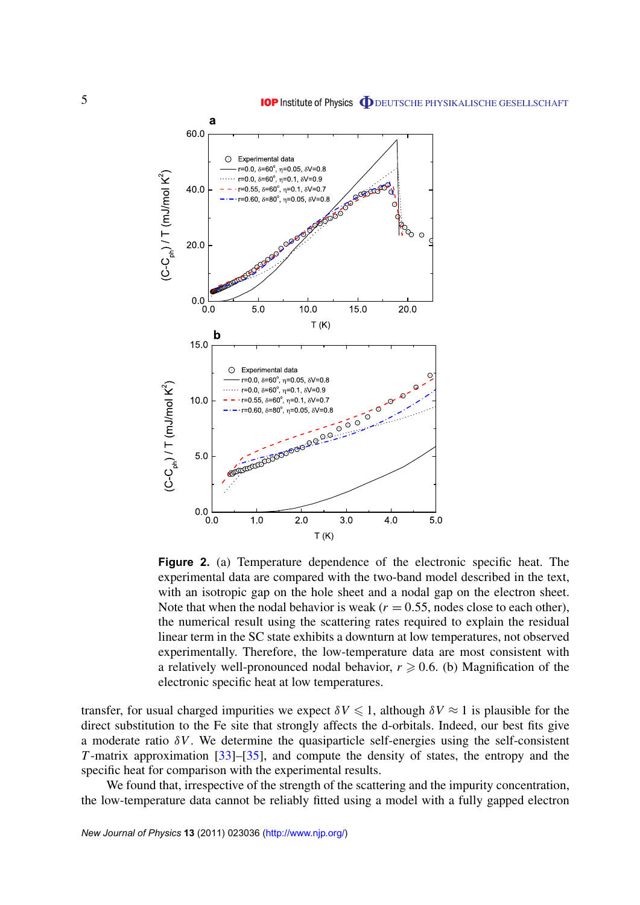<span id="page-7-0"></span>

**Figure 2.** (a) Temperature dependence of the electronic specific heat. The experimental data are compared with the two-band model described in the text, with an isotropic gap on the hole sheet and a nodal gap on the electron sheet. Note that when the nodal behavior is weak  $(r = 0.55,$  nodes close to each other), the numerical result using the scattering rates required to explain the residual linear term in the SC state exhibits a downturn at low temperatures, not observed experimentally. Therefore, the low-temperature data are most consistent with a relatively well-pronounced nodal behavior,  $r \geq 0.6$ . (b) Magnification of the electronic specific heat at low temperatures.

transfer, for usual charged impurities we expect  $\delta V \le 1$ , although  $\delta V \approx 1$  is plausible for the direct substitution to the Fe site that strongly affects the d-orbitals. Indeed, our best fits give a moderate ratio  $\delta V$ . We determine the quasiparticle self-energies using the self-consistent *T* -matrix approximation [\[33\]](#page-11-0)–[\[35\]](#page-11-0), and compute the density of states, the entropy and the specific heat for comparison with the experimental results.

We found that, irrespective of the strength of the scattering and the impurity concentration, the low-temperature data cannot be reliably fitted using a model with a fully gapped electron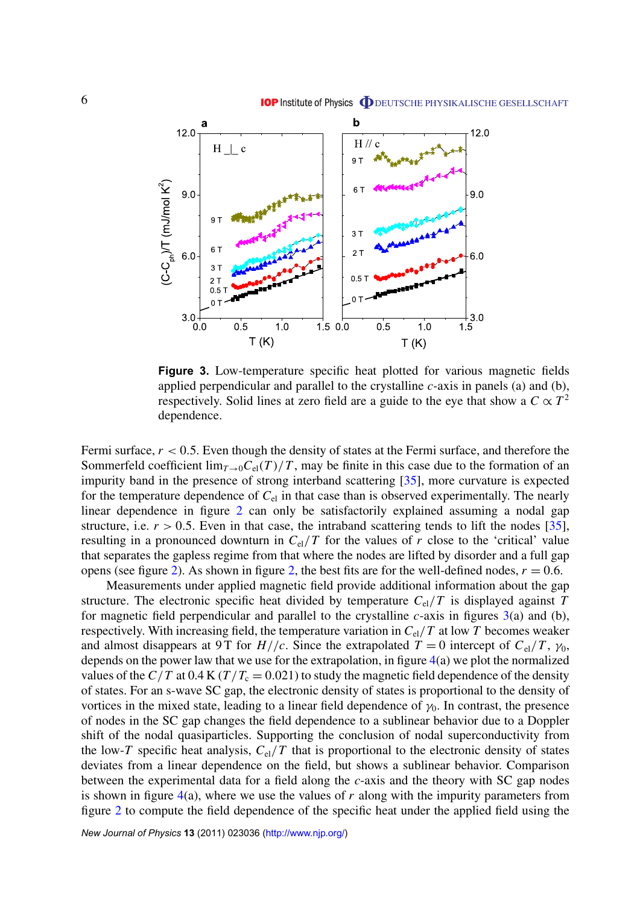<span id="page-8-0"></span>

**Figure 3.** Low-temperature specific heat plotted for various magnetic fields applied perpendicular and parallel to the crystalline *c*-axis in panels (a) and (b), respectively. Solid lines at zero field are a guide to the eye that show a  $C \propto T^2$ dependence.

Fermi surface,  $r < 0.5$ . Even though the density of states at the Fermi surface, and therefore the Sommerfeld coefficient  $\lim_{T\to 0} C_{el}(T)/T$ , may be finite in this case due to the formation of an impurity band in the presence of strong interband scattering [\[35\]](#page-11-0), more curvature is expected for the temperature dependence of *C*el in that case than is observed experimentally. The nearly linear dependence in figure [2](#page-7-0) can only be satisfactorily explained assuming a nodal gap structure, i.e.  $r > 0.5$ . Even in that case, the intraband scattering tends to lift the nodes [\[35\]](#page-11-0), resulting in a pronounced downturn in  $C_{el}/T$  for the values of *r* close to the 'critical' value that separates the gapless regime from that where the nodes are lifted by disorder and a full gap opens (see figure [2\)](#page-7-0). As shown in figure [2,](#page-7-0) the best fits are for the well-defined nodes,  $r = 0.6$ .

Measurements under applied magnetic field provide additional information about the gap structure. The electronic specific heat divided by temperature  $C_{el}/T$  is displayed against  $T$ for magnetic field perpendicular and parallel to the crystalline *c*-axis in figures 3(a) and (b), respectively. With increasing field, the temperature variation in  $C_{el}/T$  at low  $T$  becomes weaker and almost disappears at 9 T for  $H//c$ . Since the extrapolated  $T = 0$  intercept of  $C_{el}/T$ ,  $\gamma_0$ , depends on the power law that we use for the extrapolation, in figure [4\(](#page-9-0)a) we plot the normalized values of the  $C/T$  at 0.4 K ( $T/T_c = 0.021$ ) to study the magnetic field dependence of the density of states. For an s-wave SC gap, the electronic density of states is proportional to the density of vortices in the mixed state, leading to a linear field dependence of  $\gamma_0$ . In contrast, the presence of nodes in the SC gap changes the field dependence to a sublinear behavior due to a Doppler shift of the nodal quasiparticles. Supporting the conclusion of nodal superconductivity from the low-*T* specific heat analysis,  $C_{el}/T$  that is proportional to the electronic density of states deviates from a linear dependence on the field, but shows a sublinear behavior. Comparison between the experimental data for a field along the *c*-axis and the theory with SC gap nodes is shown in figure  $4(a)$  $4(a)$ , where we use the values of *r* along with the impurity parameters from figure [2](#page-7-0) to compute the field dependence of the specific heat under the applied field using the

*New Journal of Physics* **13** (2011) 023036 [\(http://www.njp.org/\)](http://www.njp.org/)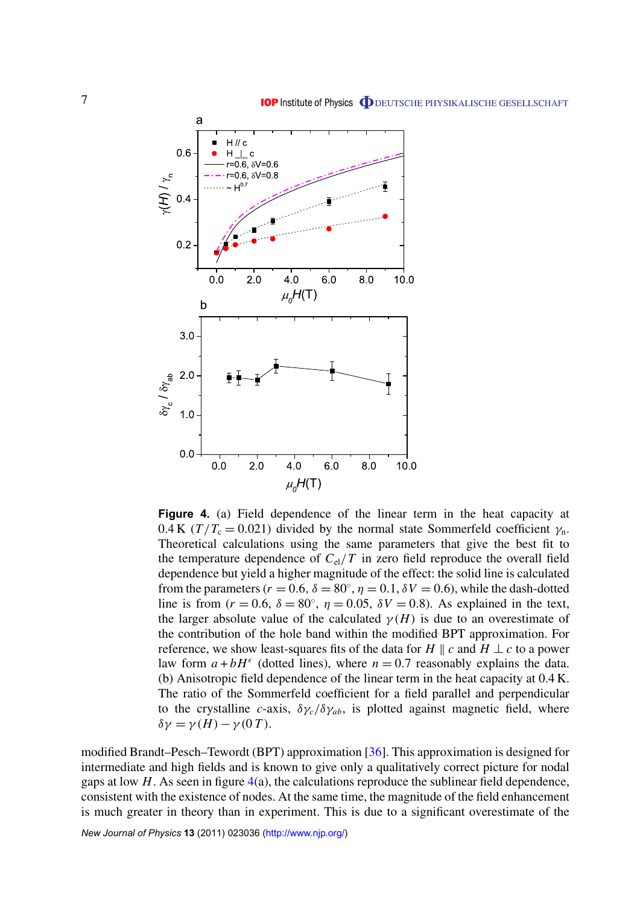<span id="page-9-0"></span>

**Figure 4.** (a) Field dependence of the linear term in the heat capacity at 0.4 K ( $T/T_c = 0.021$ ) divided by the normal state Sommerfeld coefficient  $\gamma_n$ . Theoretical calculations using the same parameters that give the best fit to the temperature dependence of  $C_{el}/T$  in zero field reproduce the overall field dependence but yield a higher magnitude of the effect: the solid line is calculated from the parameters ( $r = 0.6$ ,  $\delta = 80^\circ$ ,  $\eta = 0.1$ ,  $\delta V = 0.6$ ), while the dash-dotted line is from ( $r = 0.6$ ,  $\delta = 80^\circ$ ,  $\eta = 0.05$ ,  $\delta V = 0.8$ ). As explained in the text, the larger absolute value of the calculated  $\gamma(H)$  is due to an overestimate of the contribution of the hole band within the modified BPT approximation. For reference, we show least-squares fits of the data for *H*  $\parallel$  *c* and *H*  $\perp$  *c* to a power law form  $a + bH^{\epsilon}$  (dotted lines), where  $n = 0.7$  reasonably explains the data. (b) Anisotropic field dependence of the linear term in the heat capacity at 0.4 K. The ratio of the Sommerfeld coefficient for a field parallel and perpendicular to the crystalline *c*-axis,  $\delta \gamma_c / \delta \gamma_{ab}$ , is plotted against magnetic field, where  $δγ = γ(H) - γ(0T)$ .

modified Brandt–Pesch–Tewordt (BPT) approximation [\[36\]](#page-11-0). This approximation is designed for intermediate and high fields and is known to give only a qualitatively correct picture for nodal gaps at low  $H$ . As seen in figure  $4(a)$ , the calculations reproduce the sublinear field dependence, consistent with the existence of nodes. At the same time, the magnitude of the field enhancement is much greater in theory than in experiment. This is due to a significant overestimate of the

*New Journal of Physics* **13** (2011) 023036 [\(http://www.njp.org/\)](http://www.njp.org/)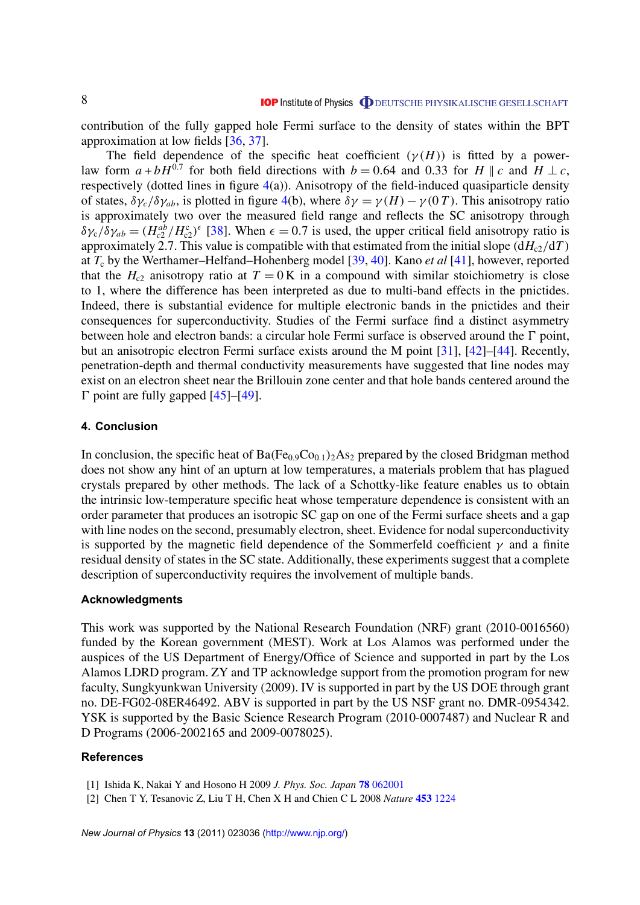<span id="page-10-0"></span>contribution of the fully gapped hole Fermi surface to the density of states within the BPT approximation at low fields [\[36,](#page-11-0) [37\]](#page-11-0).

The field dependence of the specific heat coefficient  $(\gamma(H))$  is fitted by a powerlaw form  $a + bH^{0.7}$  for both field directions with  $b = 0.64$  and 0.33 for *H*  $\parallel$  *c* and *H* ⊥ *c*, respectively (dotted lines in figure  $4(a)$  $4(a)$ ). Anisotropy of the field-induced quasiparticle density of states,  $\delta \gamma_c / \delta \gamma_{ab}$ , is plotted in figure [4\(](#page-9-0)b), where  $\delta \gamma = \gamma(H) - \gamma(0 \, T)$ . This anisotropy ratio is approximately two over the measured field range and reflects the SC anisotropy through  $\delta\gamma_c/\delta\gamma_{ab} = (H_{c2}^{ab}/H_{c2}^c)^{\epsilon}$  [\[38\]](#page-11-0). When  $\epsilon = 0.7$  is used, the upper critical field anisotropy ratio is approximately 2.7. This value is compatible with that estimated from the initial slope  $(dH_{c2}/dT)$ at *T*<sup>c</sup> by the Werthamer–Helfand–Hohenberg model [\[39,](#page-11-0) [40\]](#page-11-0). Kano *et al* [\[41\]](#page-11-0), however, reported that the  $H_{c2}$  anisotropy ratio at  $T = 0$  K in a compound with similar stoichiometry is close to 1, where the difference has been interpreted as due to multi-band effects in the pnictides. Indeed, there is substantial evidence for multiple electronic bands in the pnictides and their consequences for superconductivity. Studies of the Fermi surface find a distinct asymmetry between hole and electron bands: a circular hole Fermi surface is observed around the  $\Gamma$  point, but an anisotropic electron Fermi surface exists around the M point [\[31\]](#page-11-0), [\[42\]](#page-11-0)–[\[44\]](#page-11-0). Recently, penetration-depth and thermal conductivity measurements have suggested that line nodes may exist on an electron sheet near the Brillouin zone center and that hole bands centered around the  $\Gamma$  point are fully gapped [\[45\]](#page-11-0)–[\[49\]](#page-11-0).

# **4. Conclusion**

In conclusion, the specific heat of  $Ba(Fe_{0.9}Co_{0.1})_2As_2$  prepared by the closed Bridgman method does not show any hint of an upturn at low temperatures, a materials problem that has plagued crystals prepared by other methods. The lack of a Schottky-like feature enables us to obtain the intrinsic low-temperature specific heat whose temperature dependence is consistent with an order parameter that produces an isotropic SC gap on one of the Fermi surface sheets and a gap with line nodes on the second, presumably electron, sheet. Evidence for nodal superconductivity is supported by the magnetic field dependence of the Sommerfeld coefficient  $\gamma$  and a finite residual density of states in the SC state. Additionally, these experiments suggest that a complete description of superconductivity requires the involvement of multiple bands.

#### **Acknowledgments**

This work was supported by the National Research Foundation (NRF) grant (2010-0016560) funded by the Korean government (MEST). Work at Los Alamos was performed under the auspices of the US Department of Energy/Office of Science and supported in part by the Los Alamos LDRD program. ZY and TP acknowledge support from the promotion program for new faculty, Sungkyunkwan University (2009). IV is supported in part by the US DOE through grant no. DE-FG02-08ER46492. ABV is supported in part by the US NSF grant no. DMR-0954342. YSK is supported by the Basic Science Research Program (2010-0007487) and Nuclear R and D Programs (2006-2002165 and 2009-0078025).

# **References**

- [1] Ishida K, Nakai Y and Hosono H 2009 *J. Phys. Soc. Japan* **78** [062001](http://dx.doi.org/10.1143/JPSJ.78.062001)
- [2] Chen T Y, Tesanovic Z, Liu T H, Chen X H and Chien C L 2008 *Nature* **453** [1224](http://dx.doi.org/10.1038/nature07081)